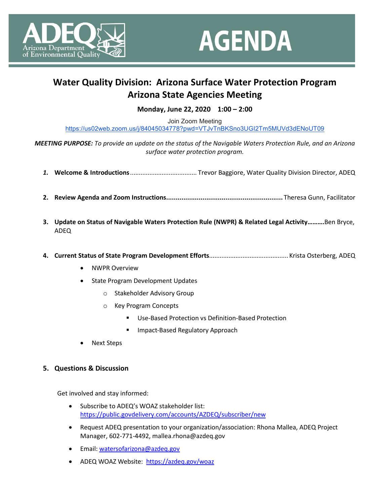



## **Water Quality Division: Arizona Surface Water Protection Program Arizona State Agencies Meeting**

## **Monday, June 22, 2020 1:00 – 2:00**

Join Zoom Meeting <https://us02web.zoom.us/j/84045034778?pwd=VTJvTnBKSno3UGI2Tm5MUVd3dENoUT09>

*MEETING PURPOSE: To provide an update on the status of the Navigable Waters Protection Rule, and an Arizona surface water protection program.*

- *1.* **Welcome & Introductions**...................................... Trevor Baggiore, Water Quality Division Director, ADEQ
- **2. Review Agenda and Zoom Instructions.............................................................** Theresa Gunn, Facilitator
- **3. Update on Status of Navigable Waters Protection Rule (NWPR) & Related Legal Activity……….**Ben Bryce, ADEQ
- **4. Current Status of State Program Development Efforts**............................................. Krista Osterberg, ADEQ
	- NWPR Overview
	- State Program Development Updates
		- o Stakeholder Advisory Group
		- o Key Program Concepts
			- Use-Based Protection vs Definition-Based Protection
			- **Impact-Based Regulatory Approach**
	- Next Steps

## **5. Questions & Discussion**

Get involved and stay informed:

- Subscribe to ADEQ's WOAZ stakeholder list: <https://public.govdelivery.com/accounts/AZDEQ/subscriber/new>
- Request ADEQ presentation to your organization/association: Rhona Mallea, ADEQ Project Manager, 602-771-4492, mallea.rhona@azdeq.gov
- Email: [watersofarizona@azdeq.gov](mailto:watersofarizona@azdeq.gov)
- ADEQ WOAZ Website:<https://azdeq.gov/woaz>